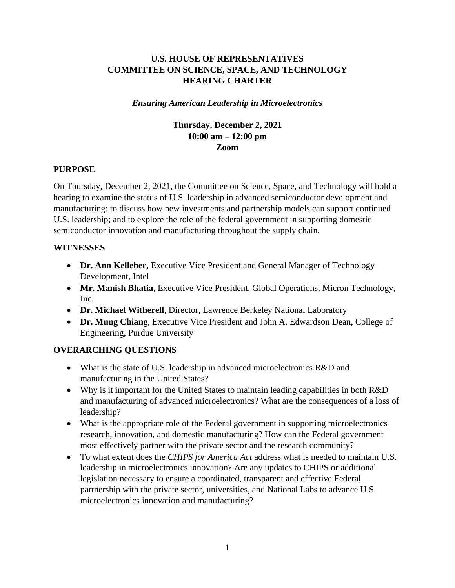# **U.S. HOUSE OF REPRESENTATIVES COMMITTEE ON SCIENCE, SPACE, AND TECHNOLOGY HEARING CHARTER**

### *Ensuring American Leadership in Microelectronics*

## **Thursday, December 2, 2021 10:00 am – 12:00 pm Zoom**

### **PURPOSE**

On Thursday, December 2, 2021, the Committee on Science, Space, and Technology will hold a hearing to examine the status of U.S. leadership in advanced semiconductor development and manufacturing; to discuss how new investments and partnership models can support continued U.S. leadership; and to explore the role of the federal government in supporting domestic semiconductor innovation and manufacturing throughout the supply chain.

### **WITNESSES**

- **Dr. Ann Kelleher,** Executive Vice President and General Manager of Technology Development, Intel
- **Mr. Manish Bhatia**, Executive Vice President, Global Operations, Micron Technology, Inc.
- **Dr. Michael Witherell**, Director, Lawrence Berkeley National Laboratory
- **Dr. Mung Chiang**, Executive Vice President and John A. Edwardson Dean, College of Engineering, Purdue University

## **OVERARCHING QUESTIONS**

- What is the state of U.S. leadership in advanced microelectronics R&D and manufacturing in the United States?
- Why is it important for the United States to maintain leading capabilities in both R&D and manufacturing of advanced microelectronics? What are the consequences of a loss of leadership?
- What is the appropriate role of the Federal government in supporting microelectronics research, innovation, and domestic manufacturing? How can the Federal government most effectively partner with the private sector and the research community?
- To what extent does the *CHIPS for America Act* address what is needed to maintain U.S. leadership in microelectronics innovation? Are any updates to CHIPS or additional legislation necessary to ensure a coordinated, transparent and effective Federal partnership with the private sector, universities, and National Labs to advance U.S. microelectronics innovation and manufacturing?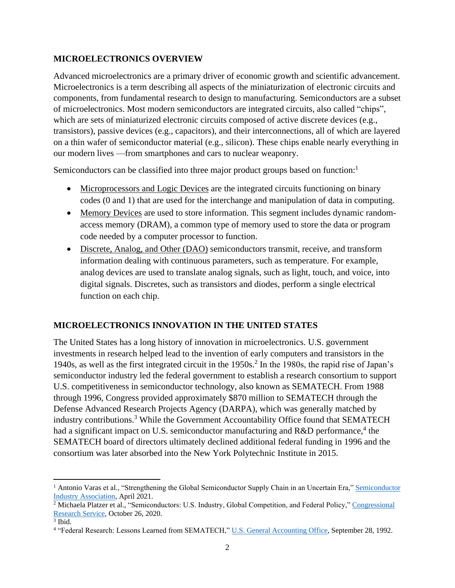### **MICROELECTRONICS OVERVIEW**

Advanced microelectronics are a primary driver of economic growth and scientific advancement. Microelectronics is a term describing all aspects of the miniaturization of electronic circuits and components, from fundamental research to design to manufacturing. Semiconductors are a subset of microelectronics. Most modern semiconductors are integrated circuits, also called "chips", which are sets of miniaturized electronic circuits composed of active discrete devices (e.g., transistors), passive devices (e.g., capacitors), and their interconnections, all of which are layered on a thin wafer of semiconductor material (e.g., silicon). These chips enable nearly everything in our modern lives —from smartphones and cars to nuclear weaponry.

Semiconductors can be classified into three major product groups based on function: $<sup>1</sup>$ </sup>

- Microprocessors and Logic Devices are the integrated circuits functioning on binary codes (0 and 1) that are used for the interchange and manipulation of data in computing.
- Memory Devices are used to store information. This segment includes dynamic randomaccess memory (DRAM), a common type of memory used to store the data or program code needed by a computer processor to function.
- Discrete, Analog, and Other (DAO) semiconductors transmit, receive, and transform information dealing with continuous parameters, such as temperature. For example, analog devices are used to translate analog signals, such as light, touch, and voice, into digital signals. Discretes, such as transistors and diodes, perform a single electrical function on each chip.

## **MICROELECTRONICS INNOVATION IN THE UNITED STATES**

The United States has a long history of innovation in microelectronics. U.S. government investments in research helped lead to the invention of early computers and transistors in the 1940s, as well as the first integrated circuit in the 1950s.<sup>2</sup> In the 1980s, the rapid rise of Japan's semiconductor industry led the federal government to establish a research consortium to support U.S. competitiveness in semiconductor technology, also known as SEMATECH. From 1988 through 1996, Congress provided approximately \$870 million to SEMATECH through the Defense Advanced Research Projects Agency (DARPA), which was generally matched by industry contributions.<sup>3</sup> While the Government Accountability Office found that SEMATECH had a significant impact on U.S. semiconductor manufacturing and R&D performance,<sup>4</sup> the SEMATECH board of directors ultimately declined additional federal funding in 1996 and the consortium was later absorbed into the New York Polytechnic Institute in 2015.

<sup>&</sup>lt;sup>1</sup> [Antonio](https://www.semiconductors.org/wp-content/uploads/2021/05/BCG-x-SIA-Strengthening-the-Global-Semiconductor-Value-Chain-April-2021_1.pdf) Varas et al., "Strengthening the Global [Semiconductor](https://www.semiconductors.org/wp-content/uploads/2021/05/BCG-x-SIA-Strengthening-the-Global-Semiconductor-Value-Chain-April-2021_1.pdf) Supply Chain in an Uncertain Era," Semiconductor [Industry Association,](https://www.semiconductors.org/wp-content/uploads/2021/05/BCG-x-SIA-Strengthening-the-Global-Semiconductor-Value-Chain-April-2021_1.pdf) April 2021.

<sup>&</sup>lt;sup>2</sup> Michaela Platzer et al., "Semiconductors: U.S. Industry, Global Competition, and Federal Policy," Congressional [Research Service,](https://sgp.fas.org/crs/misc/R46581.pdf) October 26, 2020.

<sup>3</sup> Ibid.

<sup>&</sup>lt;sup>4</sup> "Federal Research: Lessons Learned from SEMATECH," [U.S. General Accounting Office,](https://www.gao.gov/products/rced-92-283) September 28, 1992.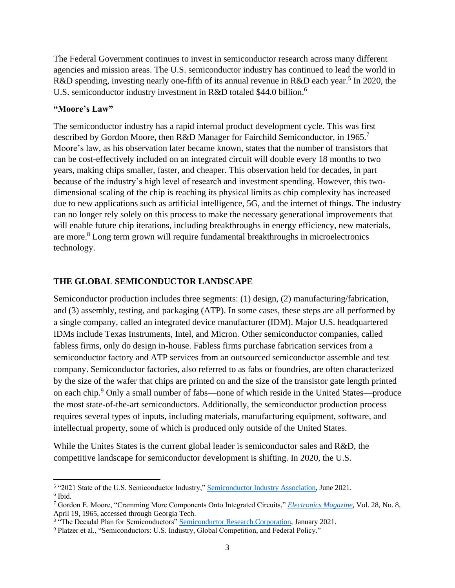The Federal Government continues to invest in semiconductor research across many different agencies and mission areas. The U.S. semiconductor industry has continued to lead the world in R&D spending, investing nearly one-fifth of its annual revenue in R&D each year.<sup>5</sup> In 2020, the U.S. semiconductor industry investment in R&D totaled \$44.0 billion.<sup>6</sup>

#### **"Moore's Law"**

The semiconductor industry has a rapid internal product development cycle. This was first described by Gordon Moore, then R&D Manager for Fairchild Semiconductor, in 1965.<sup>7</sup> Moore's law, as his observation later became known, states that the number of transistors that can be cost-effectively included on an integrated circuit will double every 18 months to two years, making chips smaller, faster, and cheaper. This observation held for decades, in part because of the industry's high level of research and investment spending. However, this twodimensional scaling of the chip is reaching its physical limits as chip complexity has increased due to new applications such as artificial intelligence, 5G, and the internet of things. The industry can no longer rely solely on this process to make the necessary generational improvements that will enable future chip iterations, including breakthroughs in energy efficiency, new materials, are more. <sup>8</sup> Long term grown will require fundamental breakthroughs in microelectronics technology.

### **THE GLOBAL SEMICONDUCTOR LANDSCAPE**

Semiconductor production includes three segments: (1) design, (2) manufacturing/fabrication, and (3) assembly, testing, and packaging (ATP). In some cases, these steps are all performed by a single company, called an integrated device manufacturer (IDM). Major U.S. headquartered IDMs include Texas Instruments, Intel, and Micron. Other semiconductor companies, called fabless firms, only do design in-house. Fabless firms purchase fabrication services from a semiconductor factory and ATP services from an outsourced semiconductor assemble and test company. Semiconductor factories, also referred to as fabs or foundries, are often characterized by the size of the wafer that chips are printed on and the size of the transistor gate length printed on each chip.<sup>9</sup> Only a small number of fabs—none of which reside in the United States—produce the most state-of-the-art semiconductors. Additionally, the semiconductor production process requires several types of inputs, including materials, manufacturing equipment, software, and intellectual property, some of which is produced only outside of the United States.

While the Unites States is the current global leader is semiconductor sales and R&D, the competitive landscape for semiconductor development is shifting. In 2020, the U.S.

<sup>&</sup>lt;sup>5</sup> "2021 State of the U.S. Semiconductor Industry," [Semiconductor Industry Association,](https://www.semiconductors.org/wp-content/uploads/2021/09/2021-SIA-State-of-the-Industry-Report.pdf) June 2021. 6 Ibid.

<sup>7</sup> Gordon E. Moore, "Cramming More Components Onto Integrated Circuits," *[Electronics](https://hasler.ece.gatech.edu/Published_papers/Technology_overview/gordon_moore_1965_article.pdf) Magazine,* Vol. 28, No. 8, April 19, 1965, accessed through Georgia Tech.

<sup>&</sup>lt;sup>8</sup> "The Decadal Plan for Semiconductors" **Semiconductor Research Corporation**, January 2021.

<sup>9</sup> Platzer et al., "Semiconductors: U.S. Industry, Global Competition, and Federal Policy."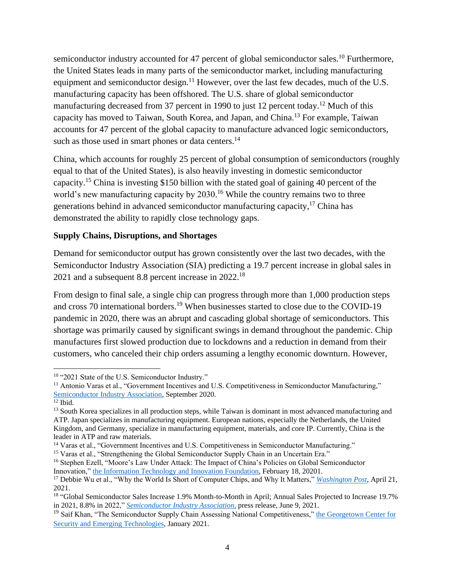semiconductor industry accounted for 47 percent of global semiconductor sales.<sup>10</sup> Furthermore, the United States leads in many parts of the semiconductor market, including manufacturing equipment and semiconductor design.<sup>11</sup> However, over the last few decades, much of the U.S. manufacturing capacity has been offshored. The U.S. share of global semiconductor manufacturing decreased from 37 percent in 1990 to just 12 percent today.<sup>12</sup> Much of this capacity has moved to Taiwan, South Korea, and Japan, and China.<sup>13</sup> For example, Taiwan accounts for 47 percent of the global capacity to manufacture advanced logic semiconductors, such as those used in smart phones or data centers.<sup>14</sup>

China, which accounts for roughly 25 percent of global consumption of semiconductors (roughly equal to that of the United States), is also heavily investing in domestic semiconductor capacity.<sup>15</sup> China is investing \$150 billion with the stated goal of gaining 40 percent of the world's new manufacturing capacity by  $2030<sup>16</sup>$  While the country remains two to three generations behind in advanced semiconductor manufacturing capacity,<sup>17</sup> China has demonstrated the ability to rapidly close technology gaps.

## **Supply Chains, Disruptions, and Shortages**

Demand for semiconductor output has grown consistently over the last two decades, with the Semiconductor Industry Association (SIA) predicting a 19.7 percent increase in global sales in 2021 and a subsequent 8.8 percent increase in  $2022$ .<sup>18</sup>

From design to final sale, a single chip can progress through more than 1,000 production steps and cross 70 international borders.<sup>19</sup> When businesses started to close due to the COVID-19 pandemic in 2020, there was an abrupt and cascading global shortage of semiconductors. This shortage was primarily caused by significant swings in demand throughout the pandemic. Chip manufactures first slowed production due to lockdowns and a reduction in demand from their customers, who canceled their chip orders assuming a lengthy economic downturn. However,

<sup>&</sup>lt;sup>10</sup> "2021 State of the U.S. Semiconductor Industry."

<sup>&</sup>lt;sup>11</sup> Antonio Varas et al., "Government Incentives and U.S. Competitiveness in Semiconductor Manufacturing," [Semiconductor Industry Association,](https://www.semiconductors.org/wp-content/uploads/2020/09/Government-Incentives-and-US-Competitiveness-in-Semiconductor-Manufacturing-Sep-2020.pdf) September 2020.

 $12$  [Ibid.](https://www.semiconductors.org/wp-content/uploads/2020/09/Government-Incentives-and-US-Competitiveness-in-Semiconductor-Manufacturing-Sep-2020.pdf)

<sup>&</sup>lt;sup>13</sup> South Korea specializes in all production steps, while Taiwan is dominant in most advanced manufacturing and ATP. Japan specializes in manufacturing equipment. European nations, especially the Netherlands, the United Kingdom, and Germany, specialize in manufacturing equipment, materials, and core IP. Currently, China is the leader in ATP and raw materials.

<sup>&</sup>lt;sup>14</sup> Varas et al., "Government Incentives and U.S. Competitiveness in Semiconductor Manufacturing."

<sup>&</sup>lt;sup>15</sup> Varas et al., "Strengthening the Global Semiconductor Supply Chain in an Uncertain Era."

<sup>16</sup> Stephen Ezell, "Moore's Law Under Attack: The Impact of China's Policies on Global Semiconductor Innovation," [the Information Technology and Innovation Foundation,](https://itif.org/publications/2021/02/18/moores-law-under-attack-impact-chinas-policies-global-semiconductor) February 18, 20201.

<sup>17</sup> [Debbie](https://www.washingtonpost.com/business/why-the-world-is-short-of-computer-chips-and-why-it-matters/2021/04/26/88d67d00-a6a8-11eb-a8a7-5f45ddcdf364_story.html) Wu et al., "Why the World Is Short of Computer Chips, and Why It Matters," *[Washington Post](https://www.washingtonpost.com/business/why-the-world-is-short-of-computer-chips-and-why-it-matters/2021/04/26/88d67d00-a6a8-11eb-a8a7-5f45ddcdf364_story.html)*, April 21, 2021.

<sup>&</sup>lt;sup>18</sup> ["G](https://www.semiconductors.org/global-semiconductor-sales-increase-1-9-month-to-month-in-april-annual-sales-projected-to-increase-19-7-in-2021-8-8-in-2021/)lobal Semiconductor Sales Increase 1.9% Month-to-Month in April; Annual Sales Projected to Increase 19.7% in 2021, 8.8% in 2022," *[Semiconductor Industry Association,](https://www.semiconductors.org/global-semiconductor-sales-increase-1-9-month-to-month-in-april-annual-sales-projected-to-increase-19-7-in-2021-8-8-in-2021/)* press release, June 9, 2021.

<sup>&</sup>lt;sup>19</sup> Saif Khan, "The Semiconductor Supply Chain Assessing National Competitiveness," the Georgetown Center for [Security and Emerging Technologies,](https://cset.georgetown.edu/publication/the-semiconductor-supply-chain/) January 2021.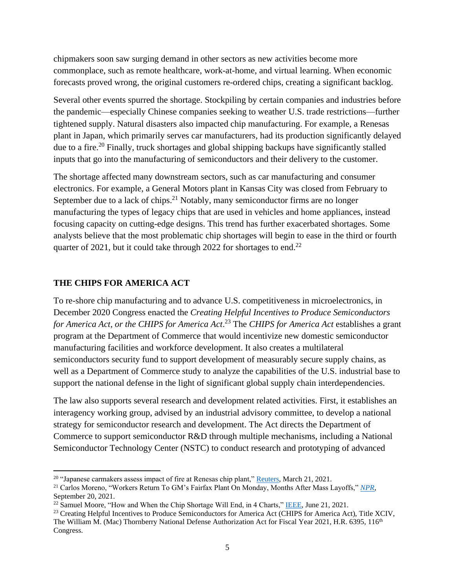chipmakers soon saw surging demand in other sectors as new activities become more commonplace, such as remote healthcare, work-at-home, and virtual learning. When economic forecasts proved wrong, the original customers re-ordered chips, creating a significant backlog.

Several other events spurred the shortage. Stockpiling by certain companies and industries before the pandemic—especially Chinese companies seeking to weather U.S. trade restrictions—further tightened supply. Natural disasters also impacted chip manufacturing. For example, a Renesas plant in Japan, which primarily serves car manufacturers, had its production significantly delayed due to a fire.<sup>20</sup> Finally, truck shortages and global shipping backups have significantly stalled inputs that go into the manufacturing of semiconductors and their delivery to the customer.

The shortage affected many downstream sectors, such as car manufacturing and consumer electronics. For example, a General Motors plant in Kansas City was closed from February to September due to a lack of chips. $2<sup>1</sup>$  Notably, many semiconductor firms are no longer manufacturing the types of legacy chips that are used in vehicles and home appliances, instead focusing capacity on cutting-edge designs. This trend has further exacerbated shortages. Some analysts believe that the most problematic chip shortages will begin to ease in the third or fourth quarter of 2021, but it could take through 2022 for shortages to end.<sup>22</sup>

### **THE CHIPS FOR AMERICA ACT**

To re-shore chip manufacturing and to advance U.S. competitiveness in microelectronics, in December 2020 Congress enacted the *Creating Helpful Incentives to Produce Semiconductors*  for America Act, or the CHIPS for America Act.<sup>23</sup> The CHIPS for America Act establishes a grant program at the Department of Commerce that would incentivize new domestic semiconductor manufacturing facilities and workforce development. It also creates a multilateral semiconductors security fund to support development of measurably secure supply chains, as well as a Department of Commerce study to analyze the capabilities of the U.S. industrial base to support the national defense in the light of significant global supply chain interdependencies.

The law also supports several research and development related activities. First, it establishes an interagency working group, advised by an industrial advisory committee, to develop a national strategy for semiconductor research and development. The Act directs the Department of Commerce to support semiconductor R&D through multiple mechanisms, including a National Semiconductor Technology Center (NSTC) to conduct research and prototyping of advanced

<sup>&</sup>lt;sup>20</sup> ["J](https://asia.nikkei.com/Business/Tech/Semiconductors/Chip-starved-automakers-shudder-at-Renesas-plant-s-1-month-halt)apanese carmakers assess impact of fire at Renesas chip plant," [Reuters,](https://www.reuters.com/article/us-renesas-fire-autos/japanese-carmakers-assess-impact-of-fire-at-renesas-chip-plant-idUSKBN2BE05I) March 21, 2021.

<sup>21</sup> Carlos Moreno, "Workers Return To GM's Fairfax Plant On Monday, Months After Mass Layoffs," *[NPR,](https://www.kcur.org/news/2021-09-20/workers-return-to-gms-fairfax-plant-on-monday-months-after-mass-layoffs)*  September 20, 2021.

 $22$  Samuel Moore, "How and When the Chip Shortage Will End, in 4 Charts," [IEEE,](https://spectrum.ieee.org/chip-shortage) June 21, 2021.

<sup>&</sup>lt;sup>23</sup> Creating Helpful Incentives to Produce Semiconductors for America Act (CHIPS for America Act), Title XCIV, The William M. (Mac) Thornberry National Defense Authorization Act for Fiscal Year 2021, H.R. 6395, 116<sup>th</sup> Congress.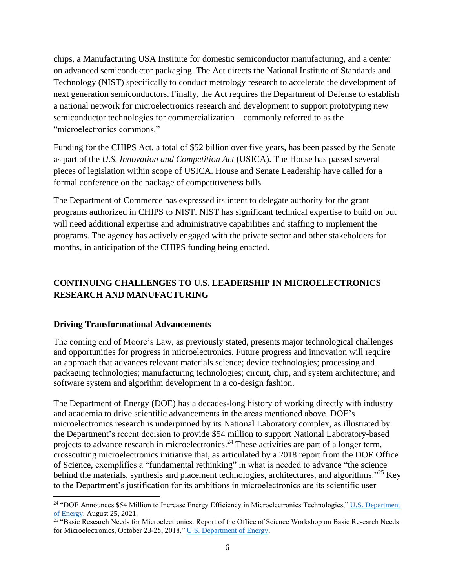chips, a Manufacturing USA Institute for domestic semiconductor manufacturing, and a center on advanced semiconductor packaging. The Act directs the National Institute of Standards and Technology (NIST) specifically to conduct metrology research to accelerate the development of next generation semiconductors. Finally, the Act requires the Department of Defense to establish a national network for microelectronics research and development to support prototyping new semiconductor technologies for commercialization—commonly referred to as the "microelectronics commons."

Funding for the CHIPS Act, a total of \$52 billion over five years, has been passed by the Senate as part of the *U.S. Innovation and Competition Act* (USICA). The House has passed several pieces of legislation within scope of USICA. House and Senate Leadership have called for a formal conference on the package of competitiveness bills.

The Department of Commerce has expressed its intent to delegate authority for the grant programs authorized in CHIPS to NIST. NIST has significant technical expertise to build on but will need additional expertise and administrative capabilities and staffing to implement the programs. The agency has actively engaged with the private sector and other stakeholders for months, in anticipation of the CHIPS funding being enacted.

# **CONTINUING CHALLENGES TO U.S. LEADERSHIP IN MICROELECTRONICS RESEARCH AND MANUFACTURING**

#### **Driving Transformational Advancements**

The coming end of Moore's Law, as previously stated, presents major technological challenges and opportunities for progress in microelectronics. Future progress and innovation will require an approach that advances relevant materials science; device technologies; processing and packaging technologies; manufacturing technologies; circuit, chip, and system architecture; and software system and algorithm development in a co-design fashion.

The Department of Energy (DOE) has a decades-long history of working directly with industry and academia to drive scientific advancements in the areas mentioned above. DOE's microelectronics research is underpinned by its National Laboratory complex, as illustrated by the Department's recent decision to provide \$54 million to support National Laboratory-based projects to advance research in microelectronics.<sup>24</sup> These activities are part of a longer term, crosscutting microelectronics initiative that, as articulated by a 2018 report from the DOE Office of Science, exemplifies a "fundamental rethinking" in what is needed to advance "the science behind the materials, synthesis and placement technologies, architectures, and algorithms.<sup>"25</sup> Key to the Department's justification for its ambitions in microelectronics are its scientific user

<sup>&</sup>lt;sup>24</sup> "DOE Announces \$54 Million to Increase Energy Efficiency in Microelectronics Technologies," U.S. Department [of Energy,](https://www.energy.gov/articles/doe-announces-54-million-increase-energy-efficiency-microelectronics-technologies) August 25, 2021.

<sup>&</sup>lt;sup>25</sup> "Basic Research Needs for Microelectronics: Report of the Office of Science Workshop on Basic Research Needs for Microelectronics, October 23-25, 2018," [U.S. Department of Energy.](https://science.osti.gov/-/media/bes/pdf/reports/2019/BRN_Microelectronics_rpt.pdf)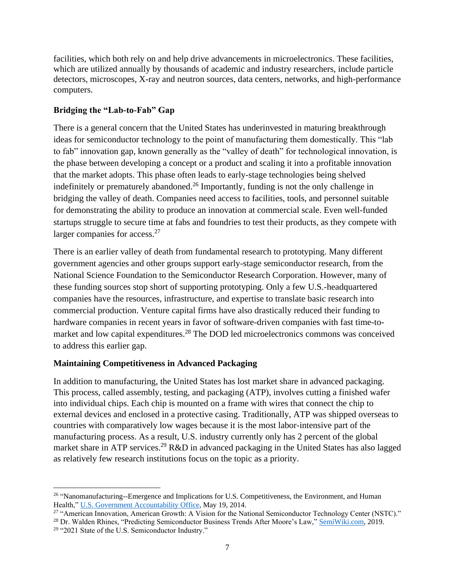facilities, which both rely on and help drive advancements in microelectronics. These facilities, which are utilized annually by thousands of academic and industry researchers, include particle detectors, microscopes, X-ray and neutron sources, data centers, networks, and high-performance computers.

## **Bridging the "Lab-to-Fab" Gap**

There is a general concern that the United States has underinvested in maturing breakthrough ideas for semiconductor technology to the point of manufacturing them domestically. This "lab to fab" innovation gap, known generally as the "valley of death" for technological innovation, is the phase between developing a concept or a product and scaling it into a profitable innovation that the market adopts. This phase often leads to early-stage technologies being shelved indefinitely or prematurely abandoned.<sup>26</sup> Importantly, funding is not the only challenge in bridging the valley of death. Companies need access to facilities, tools, and personnel suitable for demonstrating the ability to produce an innovation at commercial scale. Even well-funded startups struggle to secure time at fabs and foundries to test their products, as they compete with larger companies for access.<sup>27</sup>

There is an earlier valley of death from fundamental research to prototyping. Many different government agencies and other groups support early-stage semiconductor research, from the National Science Foundation to the Semiconductor Research Corporation. However, many of these funding sources stop short of supporting prototyping. Only a few U.S.-headquartered companies have the resources, infrastructure, and expertise to translate basic research into commercial production. Venture capital firms have also drastically reduced their funding to hardware companies in recent years in favor of software-driven companies with fast time-tomarket and low capital expenditures.<sup>28</sup> The DOD led microelectronics commons was conceived to address this earlier gap.

# **Maintaining Competitiveness in Advanced Packaging**

In addition to manufacturing, the United States has lost market share in advanced packaging. This process, called assembly, testing, and packaging (ATP), involves cutting a finished wafer into individual chips. Each chip is mounted on a frame with wires that connect the chip to external devices and enclosed in a protective casing. Traditionally, ATP was shipped overseas to countries with comparatively low wages because it is the most labor-intensive part of the manufacturing process. As a result, U.S. industry currently only has 2 percent of the global market share in ATP services.<sup>29</sup> R&D in advanced packaging in the United States has also lagged as relatively few research institutions focus on the topic as a priority.

<sup>&</sup>lt;sup>26</sup> ["N](https://www.gao.gov/products/gao-14-406sp)anomanufacturing--Emergence and Implications for U.S. Competitiveness, the Environment, and Human Health," [U.S. Government Accountability Office,](https://www.gao.gov/products/gao-14-406sp) May 19, 2014.

<sup>&</sup>lt;sup>27</sup> "American Innovation, American Growth: A Vision for the National Semiconductor Technology Center (NSTC)."

<sup>&</sup>lt;sup>28</sup> [Dr.](https://semiwiki.com/books/Predicting%20Trends%20PDF%20Version%20Final.pdf) Walden Rhines, "Predicting Semiconductor Business Trends After Moore's Law," [SemiWiki.com,](https://semiwiki.com/books/Predicting%20Trends%20PDF%20Version%20Final.pdf) 2019.

<sup>&</sup>lt;sup>29</sup> "2021 State of the U.S. Semiconductor Industry."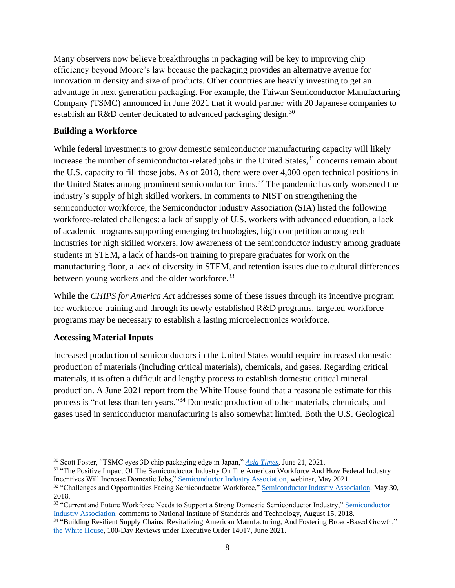Many observers now believe breakthroughs in packaging will be key to improving chip efficiency beyond Moore's law because the packaging provides an alternative avenue for innovation in density and size of products. Other countries are heavily investing to get an advantage in next generation packaging. For example, the Taiwan Semiconductor Manufacturing Company (TSMC) announced in June 2021 that it would partner with 20 Japanese companies to establish an R&D center dedicated to advanced packaging design.<sup>30</sup>

## **Building a Workforce**

While federal investments to grow domestic semiconductor manufacturing capacity will likely increase the number of semiconductor-related jobs in the United States,  $31$  concerns remain about the U.S. capacity to fill those jobs. As of 2018, there were over 4,000 open technical positions in the United States among prominent semiconductor firms.<sup>32</sup> The pandemic has only worsened the industry's supply of high skilled workers. In comments to NIST on strengthening the semiconductor workforce, the Semiconductor Industry Association (SIA) listed the following workforce-related challenges: a lack of supply of U.S. workers with advanced education, a lack of academic programs supporting emerging technologies, high competition among tech industries for high skilled workers, low awareness of the semiconductor industry among graduate students in STEM, a lack of hands-on training to prepare graduates for work on the manufacturing floor, a lack of diversity in STEM, and retention issues due to cultural differences between young workers and the older workforce.<sup>33</sup>

While the *CHIPS for America Act* addresses some of these issues through its incentive program for workforce training and through its newly established R&D programs, targeted workforce programs may be necessary to establish a lasting microelectronics workforce.

# **Accessing Material Inputs**

Increased production of semiconductors in the United States would require increased domestic production of materials (including critical materials), chemicals, and gases. Regarding critical materials, it is often a difficult and lengthy process to establish domestic critical mineral production. A June 2021 report from the White House found that a reasonable estimate for this process is "not less than ten years."<sup>34</sup> Domestic production of other materials, chemicals, and gases used in semiconductor manufacturing is also somewhat limited. Both the U.S. Geological

<sup>30</sup> Scott Foster, "TSMC eyes 3D chip packaging edge in Japan," *[Asia Times,](https://asiatimes.com/2021/06/tsmc-eyes-3d-chip-packaging-edge-in-japan/)* June 21, 2021.

<sup>&</sup>lt;sup>31</sup> ["T](https://www.semiconductors.org/challenges-and-opportunities-facing-semiconductor-workforce/)he Positive Impact Of The Semiconductor Industry On The American Workforce And How Federal Industry Incentives Will Increase Domestic Jobs,[" Semiconductor Industry Association,](https://www.semiconductors.org/wp-content/uploads/2021/05/SIA-Webinar-May-2021-hg-fy.pdf) webinar, May 2021.

<sup>&</sup>lt;sup>32</sup> "Challenges and Opportunities Facing Semiconductor Workforce," [Semiconductor Industry Association,](https://www.semiconductors.org/challenges-and-opportunities-facing-semiconductor-workforce/) May 30, 2018.

<sup>&</sup>lt;sup>33</sup> "Current and Future Workforce Needs to Support a Strong Domestic Semiconductor Industry," Semiconductor [Industry Association,](https://www.semiconductors.org/wp-content/uploads/2018/11/NIST-workforce-RFI-august-2018.pdf) comments to National Institute of Standards and Technology, August 15, 2018.<br><sup>34</sup> ["B](https://www.whitehouse.gov/wp-content/uploads/2021/06/100-day-supply-chain-review-report.pdf)uilding Resilient Supply Chains, Revitalizing American Manufacturing, And Fostering Broad-Based Growth,"

[the White House,](https://www.whitehouse.gov/wp-content/uploads/2021/06/100-day-supply-chain-review-report.pdf) 100-Day Reviews under Executive Order 14017, June 2021.